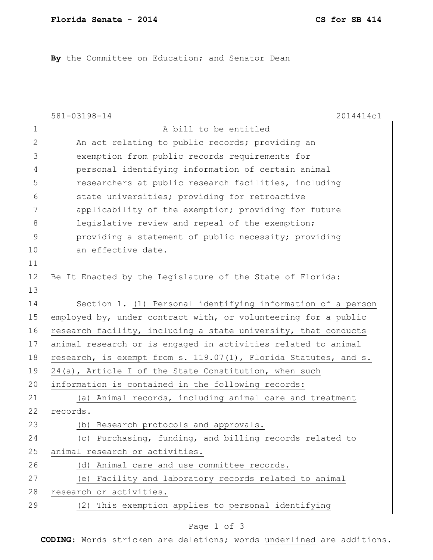By the Committee on Education; and Senator Dean

|               | 581-03198-14<br>2014414c1                                       |
|---------------|-----------------------------------------------------------------|
| $\mathbf 1$   | A bill to be entitled                                           |
| $\mathbf{2}$  | An act relating to public records; providing an                 |
| 3             | exemption from public records requirements for                  |
| 4             | personal identifying information of certain animal              |
| 5             | researchers at public research facilities, including            |
| 6             | state universities; providing for retroactive                   |
| 7             | applicability of the exemption; providing for future            |
| 8             | legislative review and repeal of the exemption;                 |
| $\mathcal{G}$ | providing a statement of public necessity; providing            |
| 10            | an effective date.                                              |
| 11            |                                                                 |
| 12            | Be It Enacted by the Legislature of the State of Florida:       |
| 13            |                                                                 |
| 14            | Section 1. (1) Personal identifying information of a person     |
| 15            | employed by, under contract with, or volunteering for a public  |
| 16            | research facility, including a state university, that conducts  |
| 17            | animal research or is engaged in activities related to animal   |
| 18            | research, is exempt from s. 119.07(1), Florida Statutes, and s. |
| 19            | $24$ (a), Article I of the State Constitution, when such        |
| 20            | information is contained in the following records:              |
| 21            | (a) Animal records, including animal care and treatment         |
| 22            | records.                                                        |
| 23            | Research protocols and approvals.<br>(b)                        |
| 24            | (c) Purchasing, funding, and billing records related to         |
| 25            | animal research or activities.                                  |
| 26            | Animal care and use committee records.<br>(d)                   |
| 27            | (e) Facility and laboratory records related to animal           |
| 28            | research or activities.                                         |
| 29            | (2) This exemption applies to personal identifying              |

## Page 1 of 3

**CODING**: Words stricken are deletions; words underlined are additions.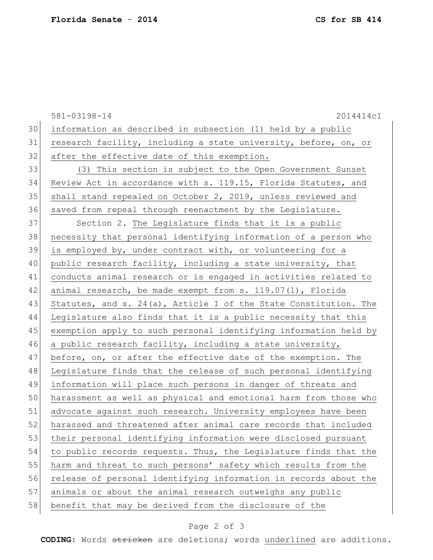581-03198-14 2014414c1 30 information as described in subsection (1) held by a public 31 research facility, including a state university, before, on, or 32 after the effective date of this exemption. 33 (3) This section is subject to the Open Government Sunset 34 Review Act in accordance with s. 119.15, Florida Statutes, and 35 shall stand repealed on October 2, 2019, unless reviewed and 36 saved from repeal through reenactment by the Legislature. 37 Section 2. The Legislature finds that it is a public 38 necessity that personal identifying information of a person who 39 is employed by, under contract with, or volunteering for a 40 public research facility, including a state university, that 41 conducts animal research or is engaged in activities related to 42 animal research, be made exempt from s. 119.07(1), Florida 43 Statutes, and s. 24(a), Article I of the State Constitution. The 44 Legislature also finds that it is a public necessity that this 45 exemption apply to such personal identifying information held by 46 a public research facility, including a state university, 47 before, on, or after the effective date of the exemption. The 48 Legislature finds that the release of such personal identifying 49 information will place such persons in danger of threats and 50 harassment as well as physical and emotional harm from those who 51 advocate against such research. University employees have been 52 harassed and threatened after animal care records that included 53 their personal identifying information were disclosed pursuant 54 to public records requests. Thus, the Legislature finds that the 55 harm and threat to such persons' safety which results from the 56 release of personal identifying information in records about the 57 animals or about the animal research outweighs any public 58 benefit that may be derived from the disclosure of the

## Page 2 of 3

**CODING**: Words stricken are deletions; words underlined are additions.